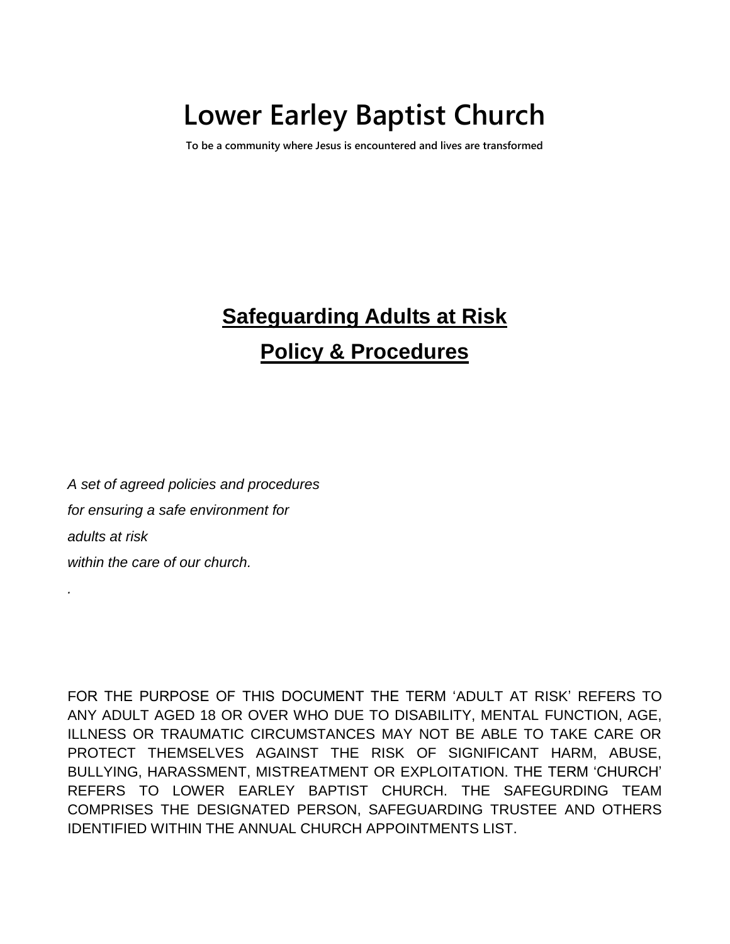# **Lower Earley Baptist Church**

**To be a community where Jesus is encountered and lives are transformed**

# **Safeguarding Adults at Risk Policy & Procedures**

*A set of agreed policies and procedures for ensuring a safe environment for adults at risk within the care of our church.*

*.*

FOR THE PURPOSE OF THIS DOCUMENT THE TERM 'ADULT AT RISK' REFERS TO ANY ADULT AGED 18 OR OVER WHO DUE TO DISABILITY, MENTAL FUNCTION, AGE, ILLNESS OR TRAUMATIC CIRCUMSTANCES MAY NOT BE ABLE TO TAKE CARE OR PROTECT THEMSELVES AGAINST THE RISK OF SIGNIFICANT HARM, ABUSE, BULLYING, HARASSMENT, MISTREATMENT OR EXPLOITATION. THE TERM 'CHURCH' REFERS TO LOWER EARLEY BAPTIST CHURCH. THE SAFEGURDING TEAM COMPRISES THE DESIGNATED PERSON, SAFEGUARDING TRUSTEE AND OTHERS IDENTIFIED WITHIN THE ANNUAL CHURCH APPOINTMENTS LIST.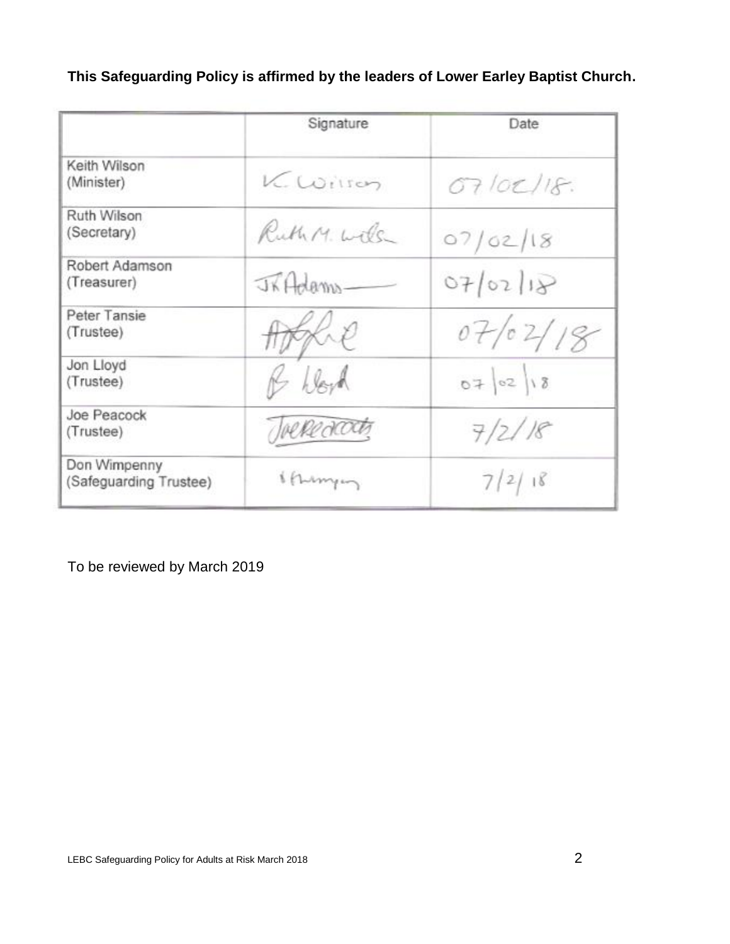**This Safeguarding Policy is affirmed by the leaders of Lower Earley Baptist Church.**

|                                        | Signature    | Date      |
|----------------------------------------|--------------|-----------|
| Keith Wilson<br>(Minister)             | Kwilson      | O7/0C/18. |
| Ruth Wilson<br>(Secretary)             | Ruth M. Wils | 07/02/18  |
| Robert Adamson<br>(Treasurer)          | JRAdams-     | 07/02/18  |
| Peter Tansie<br>(Trustee)              |              | 07/02/18  |
| Jon Lloyd<br>(Trustee)                 | bloyd        | 070218    |
| Joe Peacock<br>(Trustee)               | Joekedoots   | 7/2/18    |
| Don Wimpenny<br>(Safeguarding Trustee) | 1 (Turnyon   | 7/2/18    |

To be reviewed by March 2019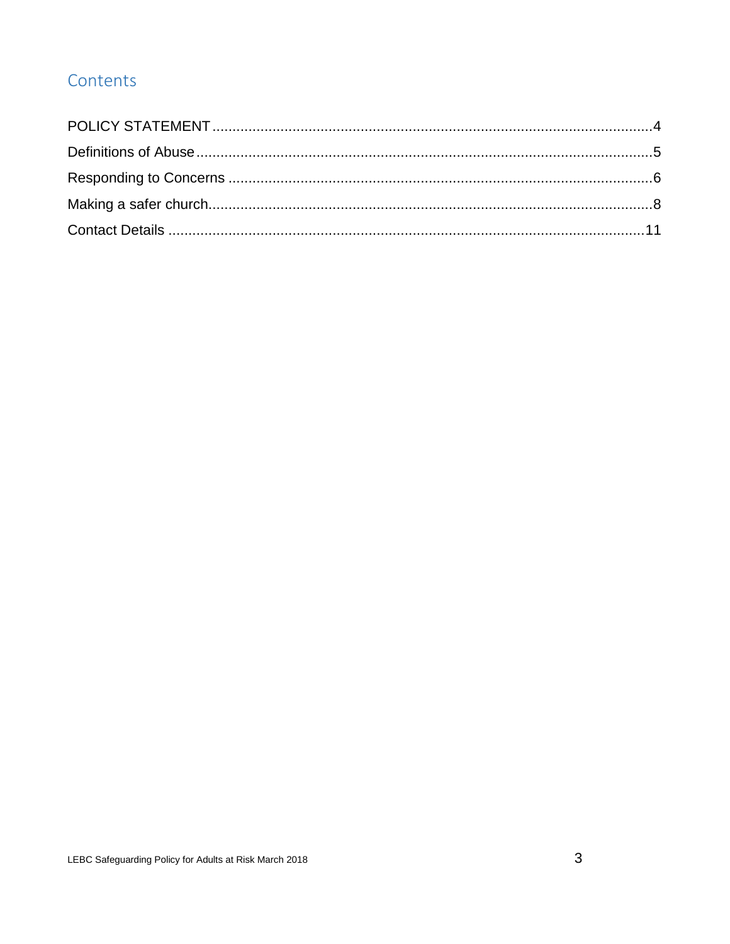# Contents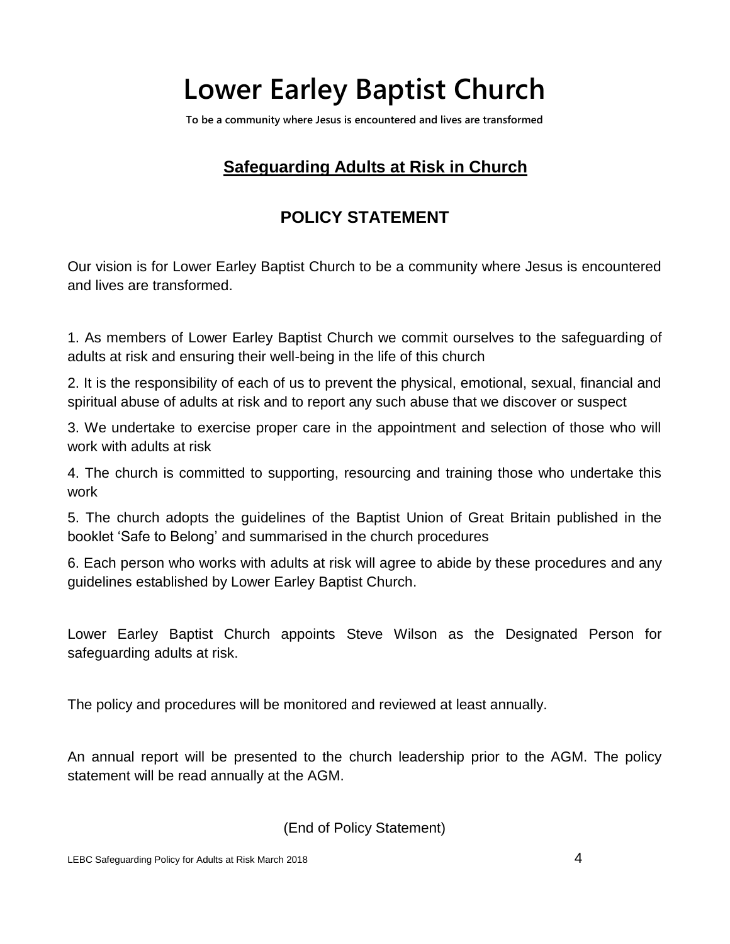# **Lower Earley Baptist Church**

**To be a community where Jesus is encountered and lives are transformed**

# **Safeguarding Adults at Risk in Church**

# **POLICY STATEMENT**

<span id="page-3-0"></span>Our vision is for Lower Earley Baptist Church to be a community where Jesus is encountered and lives are transformed.

1. As members of Lower Earley Baptist Church we commit ourselves to the safeguarding of adults at risk and ensuring their well-being in the life of this church

2. It is the responsibility of each of us to prevent the physical, emotional, sexual, financial and spiritual abuse of adults at risk and to report any such abuse that we discover or suspect

3. We undertake to exercise proper care in the appointment and selection of those who will work with adults at risk

4. The church is committed to supporting, resourcing and training those who undertake this work

5. The church adopts the guidelines of the Baptist Union of Great Britain published in the booklet 'Safe to Belong' and summarised in the church procedures

6. Each person who works with adults at risk will agree to abide by these procedures and any guidelines established by Lower Earley Baptist Church.

Lower Earley Baptist Church appoints Steve Wilson as the Designated Person for safeguarding adults at risk.

The policy and procedures will be monitored and reviewed at least annually.

An annual report will be presented to the church leadership prior to the AGM. The policy statement will be read annually at the AGM.

(End of Policy Statement)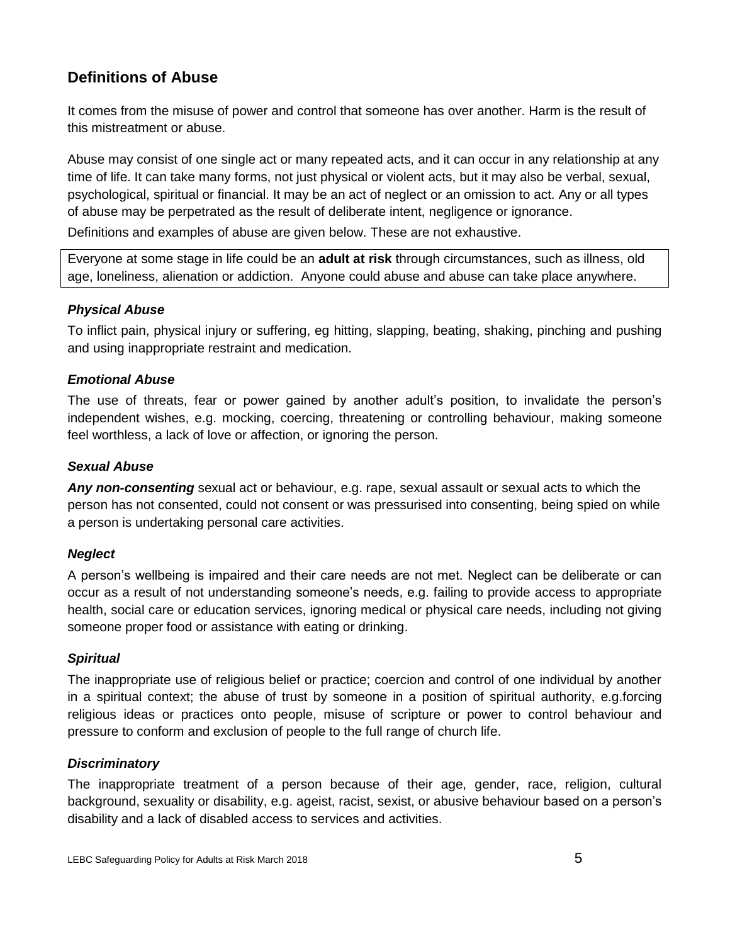# <span id="page-4-0"></span>**Definitions of Abuse**

It comes from the misuse of power and control that someone has over another. Harm is the result of this mistreatment or abuse.

Abuse may consist of one single act or many repeated acts, and it can occur in any relationship at any time of life. It can take many forms, not just physical or violent acts, but it may also be verbal, sexual, psychological, spiritual or financial. It may be an act of neglect or an omission to act. Any or all types of abuse may be perpetrated as the result of deliberate intent, negligence or ignorance.

Definitions and examples of abuse are given below. These are not exhaustive.

Everyone at some stage in life could be an **adult at risk** through circumstances, such as illness, old age, loneliness, alienation or addiction. Anyone could abuse and abuse can take place anywhere.

# *Physical Abuse*

To inflict pain, physical injury or suffering, eg hitting, slapping, beating, shaking, pinching and pushing and using inappropriate restraint and medication.

# *Emotional Abuse*

The use of threats, fear or power gained by another adult's position, to invalidate the person's independent wishes, e.g. mocking, coercing, threatening or controlling behaviour, making someone feel worthless, a lack of love or affection, or ignoring the person.

# *Sexual Abuse*

*Any non-consenting* sexual act or behaviour, e.g. rape, sexual assault or sexual acts to which the person has not consented, could not consent or was pressurised into consenting, being spied on while a person is undertaking personal care activities.

# *Neglect*

A person's wellbeing is impaired and their care needs are not met. Neglect can be deliberate or can occur as a result of not understanding someone's needs, e.g. failing to provide access to appropriate health, social care or education services, ignoring medical or physical care needs, including not giving someone proper food or assistance with eating or drinking.

# *Spiritual*

The inappropriate use of religious belief or practice; coercion and control of one individual by another in a spiritual context; the abuse of trust by someone in a position of spiritual authority, e.g.forcing religious ideas or practices onto people, misuse of scripture or power to control behaviour and pressure to conform and exclusion of people to the full range of church life.

# *Discriminatory*

The inappropriate treatment of a person because of their age, gender, race, religion, cultural background, sexuality or disability, e.g. ageist, racist, sexist, or abusive behaviour based on a person's disability and a lack of disabled access to services and activities.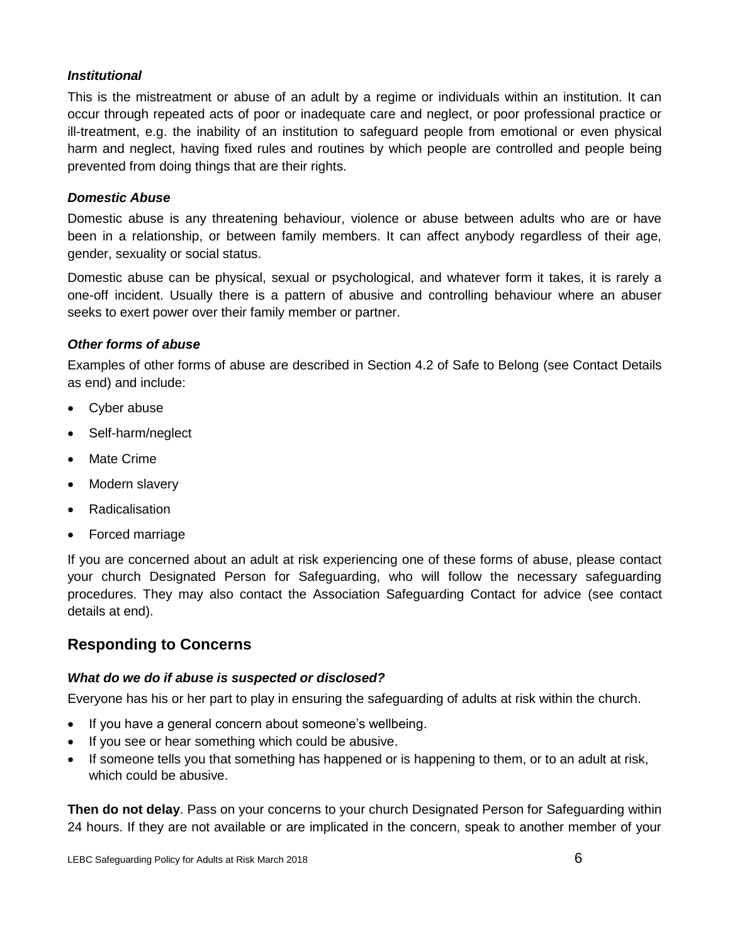#### *Institutional*

This is the mistreatment or abuse of an adult by a regime or individuals within an institution. It can occur through repeated acts of poor or inadequate care and neglect, or poor professional practice or ill-treatment, e.g. the inability of an institution to safeguard people from emotional or even physical harm and neglect, having fixed rules and routines by which people are controlled and people being prevented from doing things that are their rights.

#### *Domestic Abuse*

Domestic abuse is any threatening behaviour, violence or abuse between adults who are or have been in a relationship, or between family members. It can affect anybody regardless of their age, gender, sexuality or social status.

Domestic abuse can be physical, sexual or psychological, and whatever form it takes, it is rarely a one-off incident. Usually there is a pattern of abusive and controlling behaviour where an abuser seeks to exert power over their family member or partner.

#### *Other forms of abuse*

Examples of other forms of abuse are described in Section 4.2 of Safe to Belong (see Contact Details as end) and include:

- Cyber abuse
- Self-harm/neglect
- Mate Crime
- Modern slavery
- Radicalisation
- Forced marriage

If you are concerned about an adult at risk experiencing one of these forms of abuse, please contact your church Designated Person for Safeguarding, who will follow the necessary safeguarding procedures. They may also contact the Association Safeguarding Contact for advice (see contact details at end).

# <span id="page-5-0"></span>**Responding to Concerns**

#### *What do we do if abuse is suspected or disclosed?*

Everyone has his or her part to play in ensuring the safeguarding of adults at risk within the church.

- If you have a general concern about someone's wellbeing.
- If you see or hear something which could be abusive.
- If someone tells you that something has happened or is happening to them, or to an adult at risk, which could be abusive.

**Then do not delay**. Pass on your concerns to your church Designated Person for Safeguarding within 24 hours. If they are not available or are implicated in the concern, speak to another member of your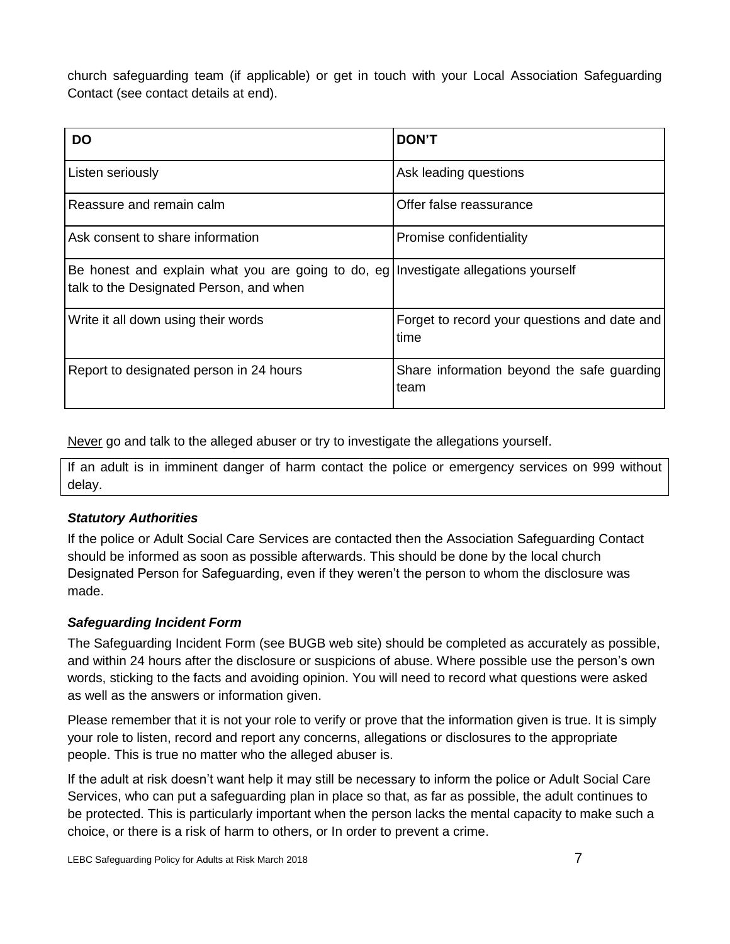church safeguarding team (if applicable) or get in touch with your Local Association Safeguarding Contact (see contact details at end).

| <b>DO</b>                                                                                                                        | <b>DON'T</b>                                         |
|----------------------------------------------------------------------------------------------------------------------------------|------------------------------------------------------|
| Listen seriously                                                                                                                 | Ask leading questions                                |
| Reassure and remain calm                                                                                                         | Offer false reassurance                              |
| Ask consent to share information                                                                                                 | Promise confidentiality                              |
| Be honest and explain what you are going to do, eg   Investigate allegations yourself<br>talk to the Designated Person, and when |                                                      |
| Write it all down using their words                                                                                              | Forget to record your questions and date and<br>time |
| Report to designated person in 24 hours                                                                                          | Share information beyond the safe guarding<br>team   |

Never go and talk to the alleged abuser or try to investigate the allegations yourself.

If an adult is in imminent danger of harm contact the police or emergency services on 999 without delay.

# *Statutory Authorities*

If the police or Adult Social Care Services are contacted then the Association Safeguarding Contact should be informed as soon as possible afterwards. This should be done by the local church Designated Person for Safeguarding, even if they weren't the person to whom the disclosure was made.

# *Safeguarding Incident Form*

The Safeguarding Incident Form (see BUGB web site) should be completed as accurately as possible, and within 24 hours after the disclosure or suspicions of abuse. Where possible use the person's own words, sticking to the facts and avoiding opinion. You will need to record what questions were asked as well as the answers or information given.

Please remember that it is not your role to verify or prove that the information given is true. It is simply your role to listen, record and report any concerns, allegations or disclosures to the appropriate people. This is true no matter who the alleged abuser is.

If the adult at risk doesn't want help it may still be necessary to inform the police or Adult Social Care Services, who can put a safeguarding plan in place so that, as far as possible, the adult continues to be protected. This is particularly important when the person lacks the mental capacity to make such a choice, or there is a risk of harm to others, or In order to prevent a crime.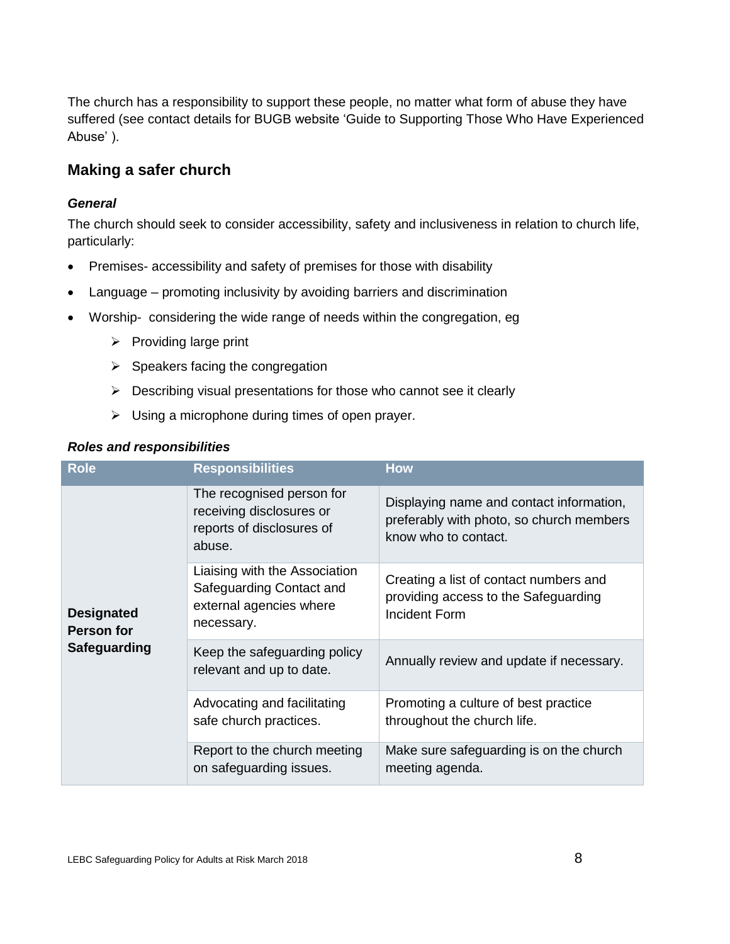The church has a responsibility to support these people, no matter what form of abuse they have suffered (see contact details for BUGB website 'Guide to Supporting Those Who Have Experienced Abuse' ).

# <span id="page-7-0"></span>**Making a safer church**

#### *General*

The church should seek to consider accessibility, safety and inclusiveness in relation to church life, particularly:

- Premises- accessibility and safety of premises for those with disability
- Language promoting inclusivity by avoiding barriers and discrimination
- Worship- considering the wide range of needs within the congregation, eg
	- $\triangleright$  Providing large print
	- $\triangleright$  Speakers facing the congregation
	- $\triangleright$  Describing visual presentations for those who cannot see it clearly
	- $\triangleright$  Using a microphone during times of open prayer.

| <b>Role</b>                                                   | <b>Responsibilities</b>                                                                            | <b>How</b>                                                                                                   |
|---------------------------------------------------------------|----------------------------------------------------------------------------------------------------|--------------------------------------------------------------------------------------------------------------|
| <b>Designated</b><br><b>Person for</b><br><b>Safeguarding</b> | The recognised person for<br>receiving disclosures or<br>reports of disclosures of<br>abuse.       | Displaying name and contact information,<br>preferably with photo, so church members<br>know who to contact. |
|                                                               | Liaising with the Association<br>Safeguarding Contact and<br>external agencies where<br>necessary. | Creating a list of contact numbers and<br>providing access to the Safeguarding<br>Incident Form              |
|                                                               | Keep the safeguarding policy<br>relevant and up to date.                                           | Annually review and update if necessary.                                                                     |
|                                                               | Advocating and facilitating<br>safe church practices.                                              | Promoting a culture of best practice<br>throughout the church life.                                          |
|                                                               | Report to the church meeting<br>on safeguarding issues.                                            | Make sure safeguarding is on the church<br>meeting agenda.                                                   |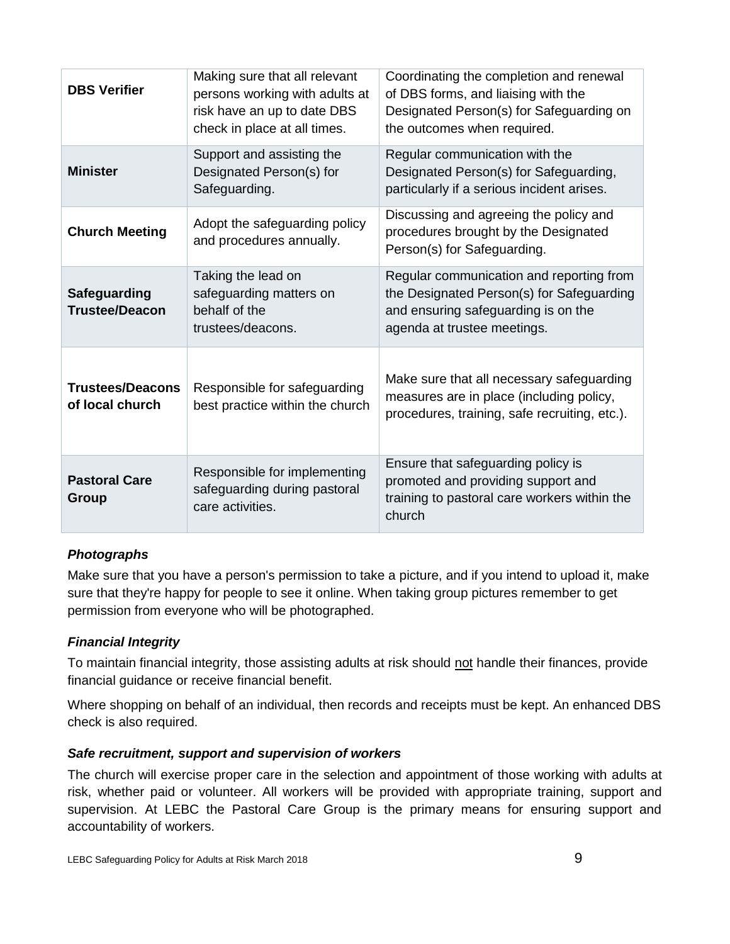| <b>DBS Verifier</b>                        | Making sure that all relevant<br>persons working with adults at<br>risk have an up to date DBS<br>check in place at all times. | Coordinating the completion and renewal<br>of DBS forms, and liaising with the<br>Designated Person(s) for Safeguarding on<br>the outcomes when required.   |
|--------------------------------------------|--------------------------------------------------------------------------------------------------------------------------------|-------------------------------------------------------------------------------------------------------------------------------------------------------------|
| <b>Minister</b>                            | Support and assisting the<br>Designated Person(s) for<br>Safeguarding.                                                         | Regular communication with the<br>Designated Person(s) for Safeguarding,<br>particularly if a serious incident arises.                                      |
| <b>Church Meeting</b>                      | Adopt the safeguarding policy<br>and procedures annually.                                                                      | Discussing and agreeing the policy and<br>procedures brought by the Designated<br>Person(s) for Safeguarding.                                               |
| Safeguarding<br><b>Trustee/Deacon</b>      | Taking the lead on<br>safeguarding matters on<br>behalf of the<br>trustees/deacons.                                            | Regular communication and reporting from<br>the Designated Person(s) for Safeguarding<br>and ensuring safeguarding is on the<br>agenda at trustee meetings. |
| <b>Trustees/Deacons</b><br>of local church | Responsible for safeguarding<br>best practice within the church                                                                | Make sure that all necessary safeguarding<br>measures are in place (including policy,<br>procedures, training, safe recruiting, etc.).                      |
| <b>Pastoral Care</b><br><b>Group</b>       | Responsible for implementing<br>safeguarding during pastoral<br>care activities.                                               | Ensure that safeguarding policy is<br>promoted and providing support and<br>training to pastoral care workers within the<br>church                          |

# *Photographs*

Make sure that you have a person's permission to take a picture, and if you intend to upload it, make sure that they're happy for people to see it online. When taking group pictures remember to get permission from everyone who will be photographed.

# *Financial Integrity*

To maintain financial integrity, those assisting adults at risk should not handle their finances, provide financial guidance or receive financial benefit.

Where shopping on behalf of an individual, then records and receipts must be kept. An enhanced DBS check is also required.

# *Safe recruitment, support and supervision of workers*

The church will exercise proper care in the selection and appointment of those working with adults at risk, whether paid or volunteer. All workers will be provided with appropriate training, support and supervision. At LEBC the Pastoral Care Group is the primary means for ensuring support and accountability of workers.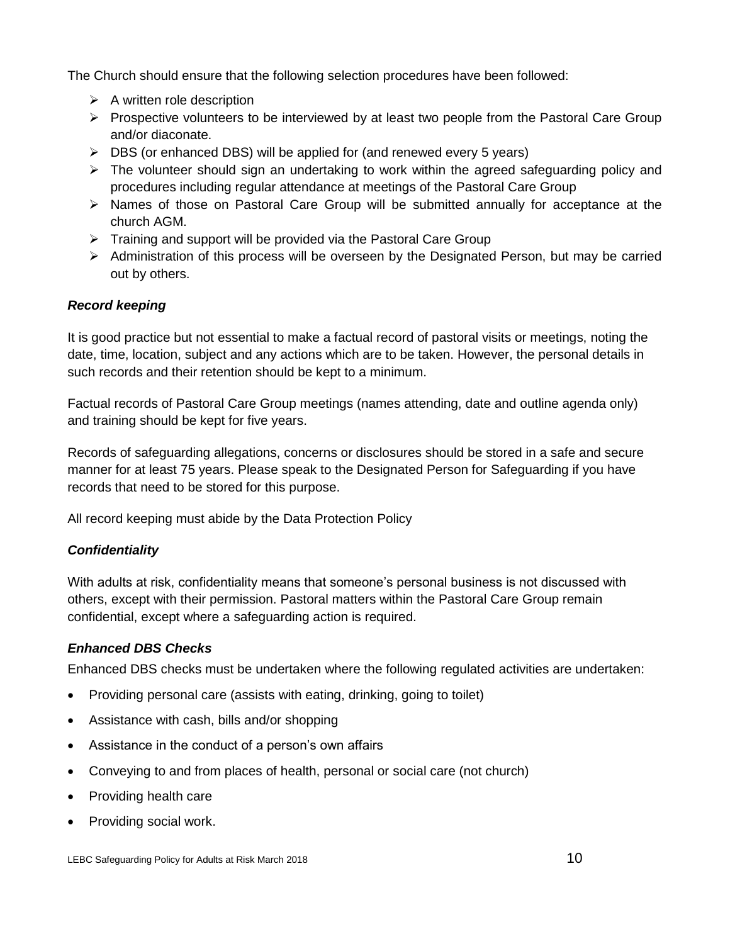The Church should ensure that the following selection procedures have been followed:

- $\triangleright$  A written role description
- $\triangleright$  Prospective volunteers to be interviewed by at least two people from the Pastoral Care Group and/or diaconate.
- $\triangleright$  DBS (or enhanced DBS) will be applied for (and renewed every 5 years)
- $\triangleright$  The volunteer should sign an undertaking to work within the agreed safeguarding policy and procedures including regular attendance at meetings of the Pastoral Care Group
- $\triangleright$  Names of those on Pastoral Care Group will be submitted annually for acceptance at the church AGM.
- $\triangleright$  Training and support will be provided via the Pastoral Care Group
- $\triangleright$  Administration of this process will be overseen by the Designated Person, but may be carried out by others.

#### *Record keeping*

It is good practice but not essential to make a factual record of pastoral visits or meetings, noting the date, time, location, subject and any actions which are to be taken. However, the personal details in such records and their retention should be kept to a minimum.

Factual records of Pastoral Care Group meetings (names attending, date and outline agenda only) and training should be kept for five years.

Records of safeguarding allegations, concerns or disclosures should be stored in a safe and secure manner for at least 75 years. Please speak to the Designated Person for Safeguarding if you have records that need to be stored for this purpose.

All record keeping must abide by the Data Protection Policy

# *Confidentiality*

With adults at risk, confidentiality means that someone's personal business is not discussed with others, except with their permission. Pastoral matters within the Pastoral Care Group remain confidential, except where a safeguarding action is required.

# *Enhanced DBS Checks*

Enhanced DBS checks must be undertaken where the following regulated activities are undertaken:

- Providing personal care (assists with eating, drinking, going to toilet)
- Assistance with cash, bills and/or shopping
- Assistance in the conduct of a person's own affairs
- Conveying to and from places of health, personal or social care (not church)
- Providing health care
- Providing social work.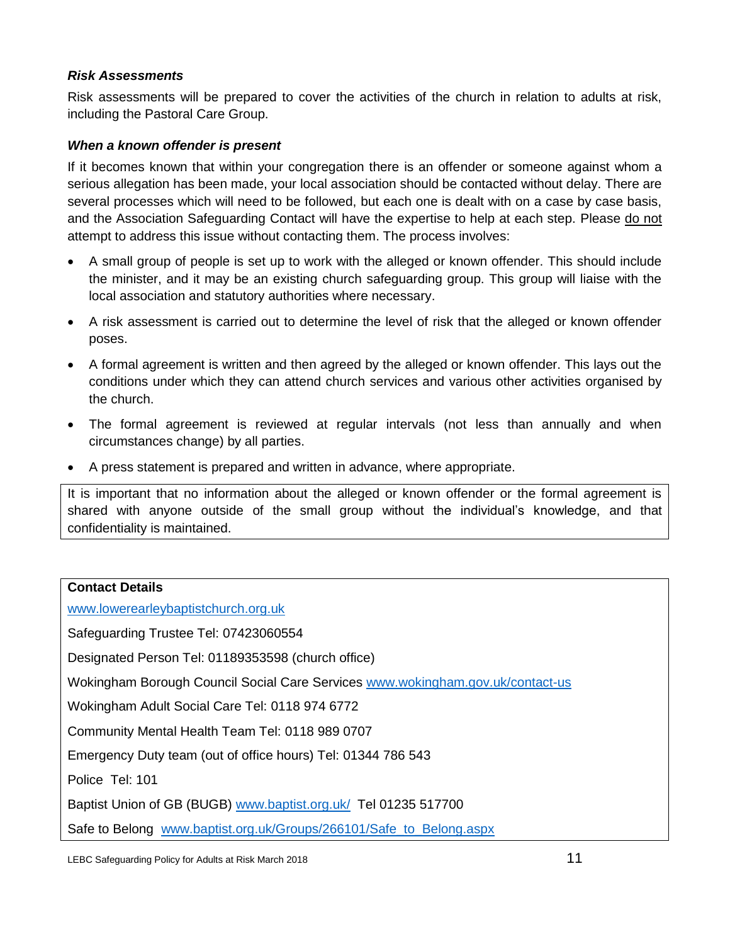#### *Risk Assessments*

Risk assessments will be prepared to cover the activities of the church in relation to adults at risk, including the Pastoral Care Group.

#### *When a known offender is present*

If it becomes known that within your congregation there is an offender or someone against whom a serious allegation has been made, your local association should be contacted without delay. There are several processes which will need to be followed, but each one is dealt with on a case by case basis, and the Association Safeguarding Contact will have the expertise to help at each step. Please do not attempt to address this issue without contacting them. The process involves:

- A small group of people is set up to work with the alleged or known offender. This should include the minister, and it may be an existing church safeguarding group. This group will liaise with the local association and statutory authorities where necessary.
- A risk assessment is carried out to determine the level of risk that the alleged or known offender poses.
- A formal agreement is written and then agreed by the alleged or known offender. This lays out the conditions under which they can attend church services and various other activities organised by the church.
- The formal agreement is reviewed at regular intervals (not less than annually and when circumstances change) by all parties.
- A press statement is prepared and written in advance, where appropriate.

It is important that no information about the alleged or known offender or the formal agreement is shared with anyone outside of the small group without the individual's knowledge, and that confidentiality is maintained.

#### <span id="page-10-0"></span>**Contact Details**

[www.lowerearleybaptistchurch.org.uk](http://www.lowerearleybaptistchurch.org.uk/)

Safeguarding Trustee Tel: 07423060554

Designated Person Tel: 01189353598 (church office)

Wokingham Borough Council Social Care Services [www.wokingham.gov.uk/contact-us](http://www.wokingham.gov.uk/contact-us)

Wokingham Adult Social Care Tel: 0118 974 6772

Community Mental Health Team Tel: 0118 989 0707

Emergency Duty team (out of office hours) Tel: 01344 786 543

Police Tel: 101

Baptist Union of GB (BUGB) [www.baptist.org.uk/](http://www.baptist.org.uk/) Tel 01235 517700

Safe to Belong www.baptist.org.uk/Groups/266101/Safe\_to\_Belong.aspx